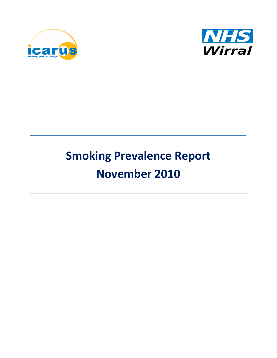



# **Smoking Prevalence Report November 2010**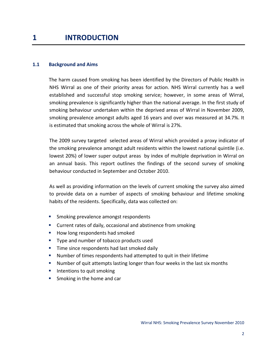### **1.1 Background and Aims**

The harm caused from smoking has been identified by the Directors of Public Health in NHS Wirral as one of their priority areas for action. NHS Wirral currently has a well established and successful stop smoking service; however, in some areas of Wirral, smoking prevalence is significantly higher than the national average. In the first study of smoking behaviour undertaken within the deprived areas of Wirral in November 2009, smoking prevalence amongst adults aged 16 years and over was measured at 34.7%. It is estimated that smoking across the whole of Wirral is 27%.

The 2009 survey targeted selected areas of Wirral which provided a proxy indicator of the smoking prevalence amongst adult residents within the lowest national quintile (i.e. lowest 20%) of lower super output areas by index of multiple deprivation in Wirral on an annual basis. This report outlines the findings of the second survey of smoking behaviour conducted in September and October 2010.

As well as providing information on the levels of current smoking the survey also aimed to provide data on a number of aspects of smoking behaviour and lifetime smoking habits of the residents. Specifically, data was collected on:

- **SMOKING PROMISSION** Smoking prevalence amongst respondents
- **EXTEND THE CULTER 1** Current rates of daily, occasional and abstinence from smoking
- How long respondents had smoked
- **Type and number of tobacco products used**
- **Time since respondents had last smoked daily**
- Number of times respondents had attempted to quit in their lifetime
- **Number of quit attempts lasting longer than four weeks in the last six months**
- **Intentions to quit smoking**
- **Smoking in the home and car**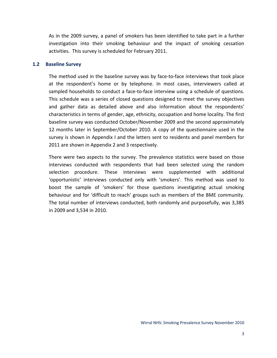As in the 2009 survey, a panel of smokers has been identified to take part in a further investigation into their smoking behaviour and the impact of smoking cessation activities. This survey is scheduled for February 2011.

### **1.2 Baseline Survey**

The method used in the baseline survey was by face-to-face interviews that took place at the respondent's home or by telephone. In most cases, interviewers called at sampled households to conduct a face‐to‐face interview using a schedule of questions. This schedule was a series of closed questions designed to meet the survey objectives and gather data as detailed above and also information about the respondents' characteristics in terms of gender, age, ethnicity, occupation and home locality. The first baseline survey was conducted October/November 2009 and the second approximately 12 months later in September/October 2010. A copy of the questionnaire used in the survey is shown in Appendix I and the letters sent to residents and panel members for 2011 are shown in Appendix 2 and 3 respectively.

There were two aspects to the survey. The prevalence statistics were based on those interviews conducted with respondents that had been selected using the random selection procedure. These interviews were supplemented with additional 'opportunistic' interviews conducted only with 'smokers'. This method was used to boost the sample of 'smokers' for those questions investigating actual smoking behaviour and for 'difficult to reach' groups such as members of the BME community. The total number of interviews conducted, both randomly and purposefully, was 3,385 in 2009 and 3,534 in 2010.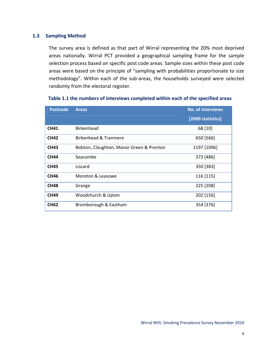### **1.3 Sampling Method**

The survey area is defined as that part of Wirral representing the 20% most deprived areas nationally. Wirral PCT provided a geographical sampling frame for the sample selection process based on specific post code areas. Sample sizes within these post code areas were based on the principle of "sampling with probabilities proportionate to size methodology". Within each of the sub-areas, the households surveyed were selected randomly from the electoral register.

| <b>Postcode</b> | <b>Areas</b>                              | <b>No. of interviews</b> |
|-----------------|-------------------------------------------|--------------------------|
|                 |                                           | [2009 statistics]        |
| <b>CH41</b>     | <b>Birkenhead</b>                         | 68 [10]                  |
| <b>CH42</b>     | Birkenhead & Tranmere                     | 650 [566]                |
| <b>CH43</b>     | Bidston, Claughton, Manor Green & Prenton | 1197 [1096]              |
| <b>CH44</b>     | Seacombe                                  | 373 [486]                |
| <b>CH45</b>     | Liscard                                   | 350 [383]                |
| <b>CH46</b>     | Moreton & Leasowe                         | 116 [115]                |
| <b>CH48</b>     | Grange                                    | 225 [208]                |
| <b>CH49</b>     | Woodchurch & Upton                        | 202 [156]                |
| <b>CH62</b>     | Bromborough & Eastham                     | 354 [376]                |

### **Table 1.1 the numbers of interviews completed within each of the specified areas**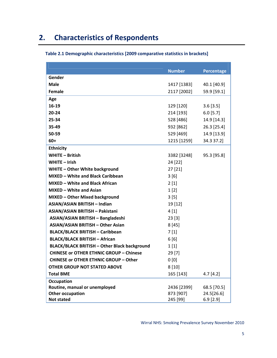# **2. Characteristics of Respondents**

|                                                | <b>Number</b> | <b>Percentage</b> |
|------------------------------------------------|---------------|-------------------|
| Gender                                         |               |                   |
| <b>Male</b>                                    | 1417 [1383]   | 40.1 [40.9]       |
| Female                                         | 2117 [2002]   | 59.9 [59.1]       |
| Age                                            |               |                   |
| $16-19$                                        | 129 [120]     | $3.6$ [3.5]       |
| $20 - 24$                                      | 214 [193]     | $6.0$ [5.7]       |
| 25-34                                          | 528 [486]     | 14.9 [14.3]       |
| 35-49                                          | 932 [862]     | 26.3 [25.4]       |
| 50-59                                          | 529 [469]     | 14.9 [13.9]       |
| $60+$                                          | 1215 [1259]   | 34.3 37.2]        |
| <b>Ethnicity</b>                               |               |                   |
| <b>WHITE - British</b>                         | 3382 [3248]   | 95.3 [95.8]       |
| WHITE $-$ Irish                                | 24 [22]       |                   |
| <b>WHITE - Other White background</b>          | 27 [21]       |                   |
| MIXED - White and Black Caribbean              | 3[6]          |                   |
| <b>MIXED - White and Black African</b>         | 2[1]          |                   |
| MIXED - White and Asian                        | 1[2]          |                   |
| MIXED - Other Mixed background                 | 3[5]          |                   |
| <b>ASIAN/ASIAN BRITISH - Indian</b>            | 19 [12]       |                   |
| ASIAN/ASIAN BRITISH - Pakistani                | 4[1]          |                   |
| ASIAN/ASIAN BRITISH - Bangladeshi              | 23 [3]        |                   |
| <b>ASIAN/ASIAN BRITISH - Other Asian</b>       | 8[45]         |                   |
| <b>BLACK/BLACK BRITISH - Caribbean</b>         | 7[1]          |                   |
| <b>BLACK/BLACK BRITISH - African</b>           | 6[6]          |                   |
| BLACK/BLACK BRITISH - Other Black background   | 1[1]          |                   |
| <b>CHINESE or OTHER ETHNIC GROUP - Chinese</b> | 29 [7]        |                   |
| <b>CHINESE or OTHER ETHNIC GROUP - Other</b>   | 0[0]          |                   |
| <b>OTHER GROUP NOT STATED ABOVE</b>            | 8[10]         |                   |
| <b>Total BME</b>                               | 165 [143]     | 4.7[4.2]          |
| <b>Occupation</b>                              |               |                   |
| Routine, manual or unemployed                  | 2436 [2399]   | 68.5 [70.5]       |
| <b>Other occupation</b>                        | 873 [907]     | 24.5[26.6]        |
| <b>Not stated</b>                              | 245 [99]      | $6.9$ [2.9]       |

### **Table 2.1 Demographic characteristics [2009 comparative statistics in brackets]**

Wirral NHS: Smoking Prevalence Survey November 2010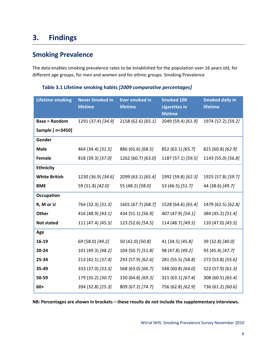# **3. Findings**

# **Smoking Prevalence**

The data enables smoking prevalence rates to be established for the population over 16 years old, for different age groups, for men and women and for ethnic groups. Smoking Prevalence

| <b>Lifetime smoking</b> | <b>Never Smoked in</b><br>lifetime | <b>Ever smoked in</b><br>lifetime | <b>Smoked 100</b><br>cigarettes in<br>lifetime | <b>Smoked daily in</b><br>lifetime |
|-------------------------|------------------------------------|-----------------------------------|------------------------------------------------|------------------------------------|
| <b>Base = Random</b>    | 1291 (37.4) [34.9]                 | 2158 (62.6) [65.1]                | 2049 (59.4) [61.9]                             | 1974 (57.2) [59.2]                 |
| Sample [ n=3450]        |                                    |                                   |                                                |                                    |
| Gender                  |                                    |                                   |                                                |                                    |
| <b>Male</b>             | 464 (34.4) [31.5]                  | 886 (65.6) [68.5]                 | 852 (63.1) [65.7]                              | 821 (60.8) [62.9]                  |
| Female                  | 818 (39.3) [37.0]                  | 1262 (60.7) [63.0]                | 1187 (57.1) [59.5]                             | 1143 (55.0) [56.8]                 |
| <b>Ethnicity</b>        |                                    |                                   |                                                |                                    |
| <b>White British</b>    | 1230 (36.9) [34.6]                 | 2099 (63.1) [65.4]                | 1992 (59.8) [62.3]                             | 1925 (57.8) [59.7]                 |
| <b>BME</b>              | 59 (51.8) [42.0]                   | 55 (48.2) [58.0]                  | 53 (46.5) [51.7]                               | 44 (38.6) [49.7]                   |
| Occupation              |                                    |                                   |                                                |                                    |
| R, M or U               | 764 (32.3) [31.3]                  | 1601 (67.7) [68.7]                | 1528 (64.6) [65.4]                             | 1479 (62.5) [62.8]                 |
| <b>Other</b>            | 416 (48.9) [43.1]                  | 434 (51.1) [56.9]                 | 407 (47.9) [54.1]                              | 384 (45.2) [51.4]                  |
| <b>Not stated</b>       | 111 (47.4) [45.5]                  | 123 (52.6) [54.5]                 | 114 (48.7) [49.5]                              | 110 (47.0) [45.5]                  |
| Age                     |                                    |                                   |                                                |                                    |
| 16-19                   | 69 (58.0) [49.2]                   | 50 (42.0) [50.8]                  | 41 (34.5) [45.8]                               | 39 (32.8) [40.0]                   |
| 20-24                   | 101 (49.3) [48.2]                  | 104 (50.7) [51.8]                 | 98 (47.8) [49.2]                               | 93 (45.4) [47.7]                   |
| 25-34                   | 213 (42.1) [37.4]                  | 293 (57.9) [62.6]                 | 281 (55.5) [58.8]                              | 272 (53.8) [55.6]                  |
| 35-49                   | 333 (37.0) [33.3]                  | 568 (63.0) [66.7]                 | 548 (60.8) [64.0]                              | 522 (57.9) [61.3]                  |
| 50-59                   | 179 (35.2) [30.7]                  | 330 (64.8) [69.3]                 | 321 (63.1) [67.4]                              | 308 (60.5) [65.4]                  |
| $60+$                   | 394 (32.8) [25.3]                  | 809 (67.2) [74.7]                 | 756 (62.8) [62.9]                              | 736 (61.2) [60.6]                  |

**Table 3.1 Lifetime smoking habits** *[2009 comparative percentages]*

**NB: Percentages are shown in brackets – these results do not include the supplementary interviews.**

Wirral NHS: Smoking Prevalence Survey November 2010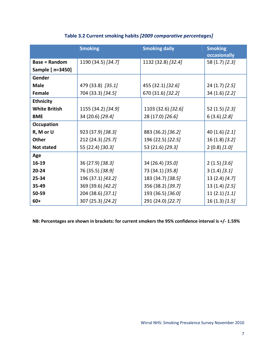|                      | <b>Smoking</b>     | <b>Smoking daily</b> | <b>Smoking</b><br><b>occasionally</b> |
|----------------------|--------------------|----------------------|---------------------------------------|
| <b>Base = Random</b> | 1190 (34.5) [34.7] | 1132 (32.8) [32.4]   | 58 (1.7) [2.3]                        |
| Sample [ n=3450]     |                    |                      |                                       |
| Gender               |                    |                      |                                       |
| <b>Male</b>          | 479 (33.8) [35.1]  | 455 (32.1) [32.6]    | $24(1.7)$ [2.5]                       |
| <b>Female</b>        | 704 (33.3) [34.5]  | 670 (31.6) [32.2]    | 34 (1.6) [2.2]                        |
| <b>Ethnicity</b>     |                    |                      |                                       |
| <b>White British</b> | 1155 (34.2) [34.9] | 1103 (32.6) [32.6]   | 52 (1.5) [2.3]                        |
| <b>BME</b>           | 34 (20.6) [29.4]   | 28 (17.0) [26.6]     | $6(3.6)$ [2.8]                        |
| <b>Occupation</b>    |                    |                      |                                       |
| R, M or U            | 923 (37.9) [38.3]  | 883 (36.2) [36.2]    | 40 $(1.6)$ $[2.1]$                    |
| Other                | 212 (24.3) [25.7]  | 196 (22.5) [22.5]    | 16 (1.8) [3.2]                        |
| <b>Not stated</b>    | 55 (22.4) [30.3]   | 53 (21.6) [29.3]     | $2(0.8)$ [1.0]                        |
| Age                  |                    |                      |                                       |
| 16-19                | 36 (27.9) [38.3]   | 34 (26.4) [35.0]     | $2(1.5)$ [3.6]                        |
| $20 - 24$            | 76 (35.5) [38.9]   | 73 (34.1) [35.8]     | 3(1.4) [3.1]                          |
| 25-34                | 196 (37.1) [43.2]  | 183 (34.7) [38.5]    | 13(2.4) [4.7]                         |
| 35-49                | 369 (39.6) [42.2]  | 356 (38.2) [39.7]    | $13(1.4)$ [2.5]                       |
| 50-59                | 204 (38.6) [37.1]  | 193 (36.5) [36.0]    | $11(2.1)$ [1.1]                       |
| $60+$                | 307 (25.3) [24.2]  | 291 (24.0) [22.7]    | $16(1.3)$ [1.5]                       |

### **Table 3.2 Current smoking habits** *[2009 comparative percentages]*

NB: Percentages are shown in brackets: for current smokers the 95% confidence interval is +/- 1.59%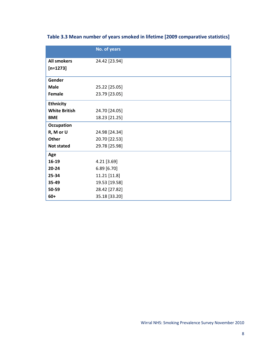|  |  | Table 3.3 Mean number of years smoked in lifetime [2009 comparative statistics] |
|--|--|---------------------------------------------------------------------------------|
|--|--|---------------------------------------------------------------------------------|

|                      | No. of years  |
|----------------------|---------------|
| <b>All smokers</b>   | 24.42 [23.94] |
| $[n=1273]$           |               |
| Gender               |               |
| <b>Male</b>          | 25.22 [25.05] |
| Female               | 23.79 [23.05] |
| <b>Ethnicity</b>     |               |
| <b>White British</b> | 24.70 [24.05] |
| <b>BME</b>           | 18.23 [21.25] |
| <b>Occupation</b>    |               |
| R, M or U            | 24.98 [24.34] |
| <b>Other</b>         | 20.70 [22.53] |
| <b>Not stated</b>    | 29.78 [25.98] |
| Age                  |               |
| 16-19                | 4.21 [3.69]   |
| $20 - 24$            | 6.89[6.70]    |
| 25-34                | 11.21 [11.8]  |
| 35-49                | 19.53 [19.58] |
| 50-59                | 28.42 [27.82] |
| $60+$                | 35.18 [33.20] |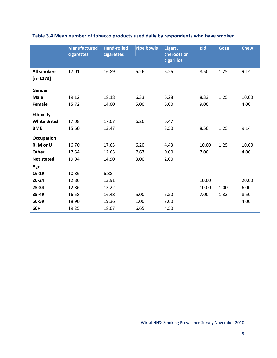|                                  | <b>Manufactured</b><br>cigarettes | <b>Hand-rolled</b><br>cigarettes | <b>Pipe bowls</b> | Cigars,<br>cheroots or<br>cigarillos | <b>Bidi</b> | Goza | <b>Chew</b> |
|----------------------------------|-----------------------------------|----------------------------------|-------------------|--------------------------------------|-------------|------|-------------|
| <b>All smokers</b><br>$[n=1273]$ | 17.01                             | 16.89                            | 6.26              | 5.26                                 | 8.50        | 1.25 | 9.14        |
| Gender                           |                                   |                                  |                   |                                      |             |      |             |
| <b>Male</b>                      | 19.12                             | 18.18                            | 6.33              | 5.28                                 | 8.33        | 1.25 | 10.00       |
| Female                           | 15.72                             | 14.00                            | 5.00              | 5.00                                 | 9.00        |      | 4.00        |
| <b>Ethnicity</b>                 |                                   |                                  |                   |                                      |             |      |             |
| <b>White British</b>             | 17.08                             | 17.07                            | 6.26              | 5.47                                 |             |      |             |
| <b>BME</b>                       | 15.60                             | 13.47                            |                   | 3.50                                 | 8.50        | 1.25 | 9.14        |
| Occupation                       |                                   |                                  |                   |                                      |             |      |             |
| R, M or U                        | 16.70                             | 17.63                            | 6.20              | 4.43                                 | 10.00       | 1.25 | 10.00       |
| <b>Other</b>                     | 17.54                             | 12.65                            | 7.67              | 9.00                                 | 7.00        |      | 4.00        |
| <b>Not stated</b>                | 19.04                             | 14.90                            | 3.00              | 2.00                                 |             |      |             |
| Age                              |                                   |                                  |                   |                                      |             |      |             |
| 16-19                            | 10.86                             | 6.88                             |                   |                                      |             |      |             |
| $20 - 24$                        | 12.86                             | 13.91                            |                   |                                      | 10.00       |      | 20.00       |
| 25-34                            | 12.86                             | 13.22                            |                   |                                      | 10.00       | 1.00 | 6.00        |
| 35-49                            | 16.58                             | 16.48                            | 5.00              | 5.50                                 | 7.00        | 1.33 | 8.50        |
| 50-59                            | 18.90                             | 19.36                            | 1.00              | 7.00                                 |             |      | 4.00        |
| $60+$                            | 19.25                             | 18.07                            | 6.65              | 4.50                                 |             |      |             |

## **Table 3.4 Mean number of tobacco products used daily by respondents who have smoked**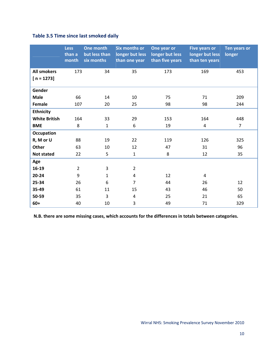### **Table 3.5 Time since last smoked daily**

|                      | <b>Less</b><br>than a<br>month | One month<br>but less than<br>six months | Six months or<br>longer but less<br>than one year | One year or<br>longer but less<br>than five years | <b>Five years or</b><br>longer but less<br>than ten years | Ten years or<br>longer |
|----------------------|--------------------------------|------------------------------------------|---------------------------------------------------|---------------------------------------------------|-----------------------------------------------------------|------------------------|
| <b>All smokers</b>   | 173                            | 34                                       | 35                                                | 173                                               | 169                                                       | 453                    |
| $[n = 1273]$         |                                |                                          |                                                   |                                                   |                                                           |                        |
| Gender               |                                |                                          |                                                   |                                                   |                                                           |                        |
| <b>Male</b>          | 66                             | 14                                       | 10                                                | 75                                                | 71                                                        | 209                    |
| Female               | 107                            | 20                                       | 25                                                | 98                                                | 98                                                        | 244                    |
| <b>Ethnicity</b>     |                                |                                          |                                                   |                                                   |                                                           |                        |
| <b>White British</b> | 164                            | 33                                       | 29                                                | 153                                               | 164                                                       | 448                    |
| <b>BME</b>           | 8                              | $\mathbf{1}$                             | 6                                                 | 19                                                | 4                                                         | $\overline{7}$         |
| Occupation           |                                |                                          |                                                   |                                                   |                                                           |                        |
| R, M or U            | 88                             | 19                                       | 22                                                | 119                                               | 126                                                       | 325                    |
| Other                | 63                             | 10                                       | 12                                                | 47                                                | 31                                                        | 96                     |
| <b>Not stated</b>    | 22                             | 5                                        | $\mathbf{1}$                                      | 8                                                 | 12                                                        | 35                     |
| Age                  |                                |                                          |                                                   |                                                   |                                                           |                        |
| 16-19                | $\overline{2}$                 | 3                                        | $\overline{2}$                                    |                                                   |                                                           |                        |
| $20 - 24$            | 9                              | $\mathbf{1}$                             | 4                                                 | 12                                                | 4                                                         |                        |
| 25-34                | 26                             | 6                                        | $\overline{7}$                                    | 44                                                | 26                                                        | 12                     |
| 35-49                | 61                             | 11                                       | 15                                                | 43                                                | 46                                                        | 50                     |
| 50-59                | 35                             | 3                                        | 4                                                 | 25                                                | 21                                                        | 65                     |
| $60+$                | 40                             | 10                                       | 3                                                 | 49                                                | 71                                                        | 329                    |

**N.B. there are some missing cases, which accounts for the differences in totals between categories.**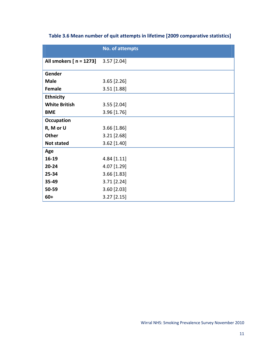|                         | <b>No. of attempts</b> |
|-------------------------|------------------------|
| All smokers [ n = 1273] | $3.57$ [2.04]          |
| Gender                  |                        |
| <b>Male</b>             | $3.65$ [2.26]          |
| Female                  | $3.51$ [1.88]          |
| <b>Ethnicity</b>        |                        |
| <b>White British</b>    | $3.55$ [2.04]          |
| <b>BME</b>              | 3.96 [1.76]            |
| <b>Occupation</b>       |                        |
| R, M or U               | $3.66$ [1.86]          |
| <b>Other</b>            | $3.21$ [2.68]          |
| <b>Not stated</b>       | 3.62 [1.40]            |
| Age                     |                        |
| 16-19                   | $4.84$ [1.11]          |
| $20 - 24$               | 4.07 [1.29]            |
| 25-34                   | $3.66$ [1.83]          |
| 35-49                   | $3.71$ [2.24]          |
| 50-59                   | $3.60$ [2.03]          |
| $60+$                   | $3.27$ [2.15]          |

### **Table 3.6 Mean number of quit attempts in lifetime [2009 comparative statistics]**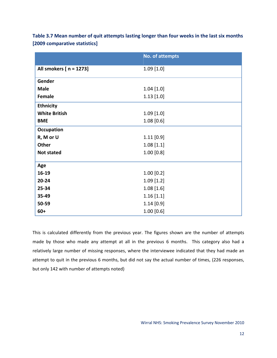| Table 3.7 Mean number of quit attempts lasting longer than four weeks in the last six months |
|----------------------------------------------------------------------------------------------|
| [2009 comparative statistics]                                                                |

|                         | No. of attempts |
|-------------------------|-----------------|
| All smokers [ n = 1273] | $1.09$ [1.0]    |
| Gender                  |                 |
| <b>Male</b>             | $1.04$ [1.0]    |
| Female                  | $1.13$ [1.0]    |
| <b>Ethnicity</b>        |                 |
| <b>White British</b>    | $1.09$ [1.0]    |
| <b>BME</b>              | $1.08$ [0.6]    |
| <b>Occupation</b>       |                 |
| R, M or U               | $1.11$ [0.9]    |
| Other                   | 1.08[1.1]       |
| <b>Not stated</b>       | 1.00 [0.8]      |
| Age                     |                 |
| 16-19                   | $1.00$ [0.2]    |
| $20 - 24$               | $1.09$ [1.2]    |
| 25-34                   | 1.08[1.6]       |
| 35-49                   | 1.16[1.1]       |
| 50-59                   | 1.14 [0.9]      |
| $60+$                   | $1.00$ [0.6]    |

This is calculated differently from the previous year. The figures shown are the number of attempts made by those who made any attempt at all in the previous 6 months. This category also had a relatively large number of missing responses, where the interviewee indicated that they had made an attempt to quit in the previous 6 months, but did not say the actual number of times, (226 responses, but only 142 with number of attempts noted)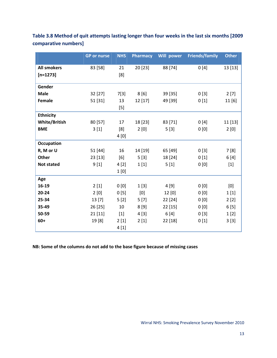|                      | <b>GP</b> or nurse | <b>NHS</b> | <b>Pharmacy</b> | Will power | <b>Friends/family</b> | <b>Other</b> |
|----------------------|--------------------|------------|-----------------|------------|-----------------------|--------------|
| <b>All smokers</b>   | 83 [58]            | 21         | 20[23]          | 88 [74]    | 0[4]                  | 13 [13]      |
| $[n=1273]$           |                    | [8]        |                 |            |                       |              |
| Gender               |                    |            |                 |            |                       |              |
| <b>Male</b>          | 32 [27]            | 7[3]       | 8[6]            | 39 [35]    | 0[3]                  | 2[7]         |
| Female               | 51 [31]            | 13         | 12 [17]         | 49 [39]    | 0[1]                  | 11 [6]       |
|                      |                    | $[5]$      |                 |            |                       |              |
| <b>Ethnicity</b>     |                    |            |                 |            |                       |              |
| <b>White/British</b> | 80 [57]            | 17         | 18 [23]         | 83 [71]    | 0[4]                  | 11 [13]      |
| <b>BME</b>           | 3[1]               | [8]        | 2[0]            | 5[3]       | 0[0]                  | 2[0]         |
|                      |                    | 4[0]       |                 |            |                       |              |
| <b>Occupation</b>    |                    |            |                 |            |                       |              |
| R, M or U            | 51 [44]            | 16         | 14 [19]         | 65 [49]    | 0[3]                  | 7 [8]        |
| <b>Other</b>         | 23 [13]            | [6]        | 5[3]            | 18 [24]    | 0[1]                  | 6 [4]        |
| <b>Not stated</b>    | 9[1]               | 4[2]       | 1[1]            | 5[1]       | 0[0]                  | $[1]$        |
|                      |                    | 1[0]       |                 |            |                       |              |
| Age                  |                    |            |                 |            |                       |              |
| 16-19                | 2[1]               | 0[0]       | 1[3]            | 4 [9]      | 0[0]                  | [0]          |
| 20-24                | 2[0]               | 0[5]       | [0]             | 12 [0]     | 0[0]                  | 1[1]         |
| 25-34                | 13 [7]             | 5[2]       | 5[7]            | 22 [24]    | 0[0]                  | 2[2]         |
| 35-49                | 26 [25]            | 10         | 8[9]            | 22 [15]    | 0[0]                  | 6[5]         |
| 50-59                | 21 [11]            | $[1]$      | 4[3]            | 6[4]       | 0[3]                  | 1[2]         |
| $60+$                | 19[8]              | 2[1]       | 2[1]            | 22 [18]    | 0[1]                  | 3[3]         |
|                      |                    | 4[1]       |                 |            |                       |              |

**Table 3.8 Method of quit attempts lasting longer than four weeks in the last six months [2009 comparative numbers]**

**NB: Some of the columns do not add to the base figure because of missing cases**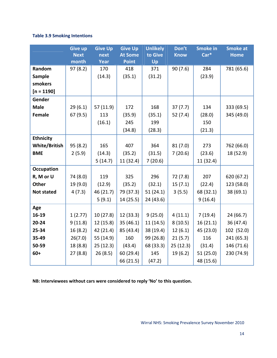### **Table 3.9 Smoking Intentions**

|                      | <b>Give up</b><br><b>Next</b><br>month | <b>Give Up</b><br>next<br><b>Year</b> | <b>Give Up</b><br><b>At Some</b><br><b>Point</b> | <b>Unlikely</b><br>to Give<br>Up | Don't<br><b>Know</b> | <b>Smoke in</b><br>Car* | <b>Smoke at</b><br><b>Home</b> |
|----------------------|----------------------------------------|---------------------------------------|--------------------------------------------------|----------------------------------|----------------------|-------------------------|--------------------------------|
| Random               | 97(8.2)                                | 170                                   | 418                                              | 371                              | 90(7.6)              | 284                     | 781 (65.6)                     |
| <b>Sample</b>        |                                        | (14.3)                                | (35.1)                                           | (31.2)                           |                      | (23.9)                  |                                |
| smokers              |                                        |                                       |                                                  |                                  |                      |                         |                                |
| $[n = 1190]$         |                                        |                                       |                                                  |                                  |                      |                         |                                |
| Gender               |                                        |                                       |                                                  |                                  |                      |                         |                                |
| <b>Male</b>          | 29(6.1)                                | 57 (11.9)                             | 172                                              | 168                              | 37(7.7)              | 134                     | 333 (69.5)                     |
| <b>Female</b>        | 67(9.5)                                | 113                                   | (35.9)                                           | (35.1)                           | 52(7.4)              | (28.0)                  | 345 (49.0)                     |
|                      |                                        | (16.1)                                | 245                                              | 199                              |                      | 150                     |                                |
|                      |                                        |                                       | (34.8)                                           | (28.3)                           |                      | (21.3)                  |                                |
| <b>Ethnicity</b>     |                                        |                                       |                                                  |                                  |                      |                         |                                |
| <b>White/British</b> | 95(8.2)                                | 165                                   | 407                                              | 364                              | 81(7.0)              | 273                     | 762 (66.0)                     |
| <b>BME</b>           | 2(5.9)                                 | (14.3)                                | (35.2)                                           | (31.5)                           | 7(20.6)              | (23.6)                  | 18 (52.9)                      |
|                      |                                        | 5(14.7)                               | 11 (32.4)                                        | 7(20.6)                          |                      | 11(32.4)                |                                |
| <b>Occupation</b>    |                                        |                                       |                                                  |                                  |                      |                         |                                |
| R, M or U            | 74 (8.0)                               | 119                                   | 325                                              | 296                              | 72 (7.8)             | 207                     | 620 (67.2)                     |
| <b>Other</b>         | 19 (9.0)                               | (12.9)                                | (35.2)                                           | (32.1)                           | 15(7.1)              | (22.4)                  | 123 (58.0)                     |
| <b>Not stated</b>    | 4(7.3)                                 | 46 (21.7)                             | 79 (37.3)                                        | 51(24.1)                         | 3(5.5)               | 68 (32.1)               | 38 (69.1)                      |
|                      |                                        | 5(9.1)                                | 14(25.5)                                         | 24 (43.6)                        |                      | 9(16.4)                 |                                |
| Age                  |                                        |                                       |                                                  |                                  |                      |                         |                                |
| 16-19                | 1(2.77)                                | 10(27.8)                              | 12 (33.3)                                        | 9(25.0)                          | 4(11.1)              | 7(19.4)                 | 24(66.7)                       |
| 20-24                | 9(11.8)                                | 12(15.8)                              | 35(46.1)                                         | 11 (14.5)                        | 8(10.5)              | 16(21.1)                | 36 (47.4)                      |
| 25-34                | 16(8.2)                                | 42 (21.4)                             | 85 (43.4)                                        | 38 (19.4)                        | 12(6.1)              | 45 (23.0)               | 102 (52.0)                     |
| 35-49                | 26(7.0)                                | 55 (14.9)                             | 160                                              | 99 (26.8)                        | 21(5.7)              | 116                     | 241 (65.3)                     |
| 50-59                | 18 (8.8)                               | 25(12.3)                              | (43.4)                                           | 68 (33.3)                        | 25(12.3)             | (31.4)                  | 146 (71.6)                     |
| $60+$                | 27(8.8)                                | 26(8.5)                               | 60 (29.4)                                        | 145                              | 19 (6.2)             | 51(25.0)                | 230 (74.9)                     |
|                      |                                        |                                       | 66 (21.5)                                        | (47.2)                           |                      | 48 (15.6)               |                                |

**NB: Interviewees without cars were considered to reply 'No' to this question.**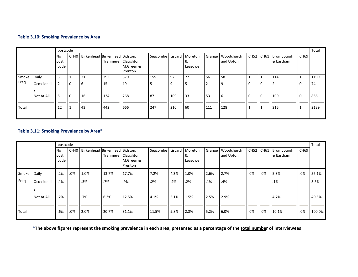#### **Table 3.10: Smoking Prevalence by Area**

|       |             |                    | postcode |                                     |     |                                             |                              |          |              |          |                         |          |          |                                   |                | Total |
|-------|-------------|--------------------|----------|-------------------------------------|-----|---------------------------------------------|------------------------------|----------|--------------|----------|-------------------------|----------|----------|-----------------------------------|----------------|-------|
|       |             | No<br>post<br>code |          | CH40 Birkenhead Birkenhead Bidston, |     | Tranmere Claughton,<br>M.Green &<br>Prenton | Seacombe   Liscard   Moreton |          | &<br>Leasowe | Grange   | Woodchurch<br>and Upton |          |          | CH52 CH61 Brombourgh<br>& Eastham | CH69           |       |
| Smoke | Daily       | 5                  |          | 21                                  | 293 | 379                                         | 155                          | 92       | 22           | 56       | 58                      |          |          | 114                               |                | 1199  |
| Freq  | Occasionall | $\mathcal{P}$      | l o      | 6                                   | 15  | 19                                          | 5                            | <b>9</b> |              | <u>ີ</u> | 9                       |          | $\Omega$ | $\overline{2}$                    | 0              | 74    |
|       | Not At All  | 5                  | <b>0</b> | 16                                  | 134 | 268                                         | 87                           | 109      | 33           | 53       | 61                      | <b>0</b> | 0        | 100                               | $\overline{0}$ | 866   |
| Total |             | 12                 |          | 43                                  | 442 | 666                                         | 247                          | 210      | 60           | 111      | 128                     |          |          | 216                               |                | 2139  |

#### **Table 3.11: Smoking Prevalence by Area\***

|       |             |                    | postcode    |                                |       |                                             |                              |      |              |        |                         |        |     |                                   | Total       |        |
|-------|-------------|--------------------|-------------|--------------------------------|-------|---------------------------------------------|------------------------------|------|--------------|--------|-------------------------|--------|-----|-----------------------------------|-------------|--------|
|       |             | No<br>post<br>code | <b>CH40</b> | Birkenhead Birkenhead Bidston, |       | Tranmere Claughton,<br>M.Green &<br>Prenton | Seacombe   Liscard   Moreton |      | &<br>Leasowe | Grange | Woodchurch<br>and Upton |        |     | CH52 CH61 Brombourgh<br>& Eastham | <b>CH69</b> |        |
| Smoke | Daily       | .2%                | .0%         | 1.0%                           | 13.7% | 17.7%                                       | 7.2%                         | 4.3% | 1.0%         | 2.6%   | 2.7%                    | .0%    | .0% | 5.3%                              | .0%         | 56.1%  |
| Freq  | Occasionall | .1%                |             | .3%                            | .7%   | .9%                                         | .2%                          | .4%  | .2%          | .1%    | .4%                     |        |     | .1%                               |             | 3.5%   |
|       | Not At All  | .2%                |             | .7%                            | 6.3%  | 12.5%                                       | 4.1%                         | 5.1% | 1.5%         | 2.5%   | 2.9%                    |        |     | 4.7%                              |             | 40.5%  |
| Total |             | .6%                | .0%         | 2.0%                           | 20.7% | 31.1%                                       | 11.5%                        | 9.8% | 2.8%         | 5.2%   | 6.0%                    | $.0\%$ | .0% | 10.1%                             | .0%         | 100.0% |

\*The above figures represent the smoking prevalence in each area, presented as a percentage of the <u>total numbe</u>r of interviewees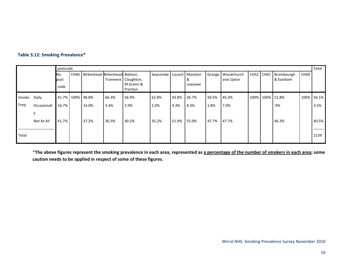|  |  | Table 3.12: Smoking Prevalence* |  |  |
|--|--|---------------------------------|--|--|
|--|--|---------------------------------|--|--|

|       |             |                     | postcode |                                       |       |                                             |                            |       |              |       |                                |           |  |                         | Total            |            |
|-------|-------------|---------------------|----------|---------------------------------------|-------|---------------------------------------------|----------------------------|-------|--------------|-------|--------------------------------|-----------|--|-------------------------|------------------|------------|
|       |             | No.<br>post<br>code |          | CH40   Birkenhead Birkenhead Bidston, |       | Tranmere Claughton,<br>M.Green &<br>Prenton | Seacombe Liscard   Moreton |       | &<br>Leasowe |       | Grange Woodchurch<br>and Upton | CH52 CH61 |  | Brombourgh<br>& Eastham | CH <sub>69</sub> |            |
| Smoke | Daily       |                     |          | 41.7% 100% 48.8%                      | 66.3% | 56.9%                                       | 62.8%                      | 43.8% | 36.7%        | 50.5% | 45.3%                          |           |  | 100% 100% 52.8%         |                  | 100% 56.1% |
| Freq  | Occasionall | 16.7%               |          | 14.0%                                 | 3.4%  | 2.9%                                        | 2.0%                       | 4.3%  | 8.3%         | 1.8%  | 7.0%                           |           |  | .9%                     |                  | 3.5%       |
|       | Not At All  | 41.7%               |          | 37.2%                                 | 30.3% | 40.2%                                       | 35.2%                      | 51.9% | 55.0%        | 47.7% | 47.7%                          |           |  | 46.3%                   |                  | 40.5%      |
| Total |             |                     |          |                                       |       |                                             |                            |       |              |       |                                |           |  |                         |                  | 2139       |

\*The above figures represent the smoking prevalence in each area, represented as <u>a percentage of the number of smokers in each area</u>; some **caution needs to be applied in respect of some of these figures.**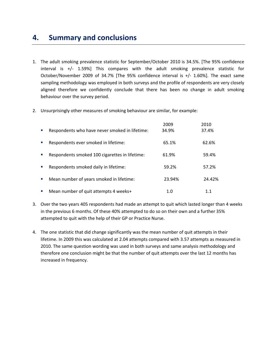# **4. Summary and conclusions**

- 1. The adult smoking prevalence statistic for September/October 2010 is 34.5%. [The 95% confidence interval is  $+/-$  1.59%] This compares with the adult smoking prevalence statistic for October/November 2009 of 34.7% [The 95% confidence interval is +/‐ 1.60%]. The exact same sampling methodology was employed in both surveys and the profile of respondents are very closely aligned therefore we confidently conclude that there has been no change in adult smoking behaviour over the survey period.
- 2. Unsurprisingly other measures of smoking behaviour are similar, for example:

|                                                                | 2009   | 2010   |
|----------------------------------------------------------------|--------|--------|
| Respondents who have never smoked in lifetime:<br>×            | 34.9%  | 37.4%  |
| Respondents ever smoked in lifetime:<br>п                      | 65.1%  | 62.6%  |
| Respondents smoked 100 cigarettes in lifetime:<br>$\mathbf{r}$ | 61.9%  | 59.4%  |
| Respondents smoked daily in lifetime:<br>п                     | 59.2%  | 57.2%  |
| Mean number of years smoked in lifetime:<br>×                  | 23.94% | 24.42% |
| Mean number of quit attempts 4 weeks+<br>п                     | 1.0    |        |

- 3. Over the two years 405 respondents had made an attempt to quit which lasted longer than 4 weeks in the previous 6 months. Of these 40% attempted to do so on their own and a further 35% attempted to quit with the help of their GP or Practice Nurse.
- 4. The one statistic that did change significantly was the mean number of quit attempts in their lifetime. In 2009 this was calculated at 2.04 attempts compared with 3.57 attempts as measured in 2010. The same question wording was used in both surveys and same analysis methodology and therefore one conclusion might be that the number of quit attempts over the last 12 months has increased in frequency.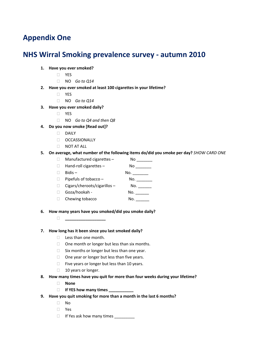# **Appendix One**

# **NHS Wirral Smoking prevalence survey ‐ autumn 2010**

- **1. Have you ever smoked?**
	- YES
	- NO *Go to Q14*
- **2. Have you ever smoked at least 100 cigarettes in your lifetime?**
	- $\Box$  YES
	- NO *Go to Q14*
- **3. Have you ever smoked daily?**
	- $\Box$  YES
	- NO *Go to Q4 and then Q8*
- **4. Do you now smoke [Read out]?**
	- $\Box$  DAILY
	- D OCCASSIONALLY
	- NOT AT ALL

### **5. On average, what number of the following items do/did you smoke per day?** *SHOW CARD ONE*

- $\Box$  Manufactured cigarettes  $\Box$  No \_\_\_\_\_\_\_\_  $\Box$  Hand-roll cigarettes –  $\Box$  No  $\Box$  $\Box$  Bidis –  $\Box$  Pipefuls of tobacco – No. \_\_\_\_\_\_\_  $\Box$  Cigars/cheroots/cigarillos – No.  $\Box$  Goza/hookah -  $\Box$  No. \_\_\_\_\_\_\_  $\Box$  Chewing tobacco  $\Box$  No.
- **6. How many years have you smoked/did you smoke daily?**
	- **\_\_\_\_\_\_\_\_\_\_\_\_\_\_\_\_\_\_**

### **7. How long has it been since you last smoked daily?**

- $\Box$  Less than one month.
- $\Box$  One month or longer but less than six months.
- $\square$  Six months or longer but less than one year.
- $\Box$  One year or longer but less than five years.
- $\Box$  Five years or longer but less than 10 years.
- □ 10 years or longer.
- **8. How many times have you quit for more than four weeks during your lifetime?**
	- **None**
	- **If YES how many times \_\_\_\_\_\_\_\_\_\_\_**
- **9. Have you quit smoking for more than a month in the last 6 months?** 
	- No
	- Yes
	- $\Box$  If Yes ask how many times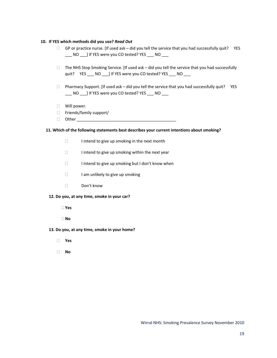#### **10. If YES which methods did you use?** *Read Out*

- $\Box$  GP or practice nurse. [If used ask did you tell the service that you had successfully quit? YES NO ] If YES were you CO tested? YES \_\_\_ NO
- $\Box$  The NHS Stop Smoking Service. [If used ask did you tell the service that you had successfully quit? YES \_\_\_ NO \_\_\_] If YES were you CO tested? YES \_\_\_ NO
- $\Box$  Pharmacy Support. [If used ask did you tell the service that you had successfully quit? YES \_\_\_ NO \_\_\_] If YES were you CO tested? YES \_\_\_ NO \_\_\_
- **Nill power.**
- $\Box$  Friends/family support/
- Other \_\_\_\_\_\_\_\_\_\_\_\_\_\_\_\_\_\_\_\_\_\_\_\_\_\_\_\_\_\_\_\_\_\_\_\_\_\_\_\_\_\_\_\_

#### **11. Which of the following statements best describes your current intentions about smoking?**

- $\Box$  I intend to give up smoking in the next month
- $\Box$  I intend to give up smoking within the next year
- $\Box$  I intend to give up smoking but I don't know when
- $\Box$  I am unlikely to give up smoking
- □ Don't know

#### **12. Do you, at any time, smoke in your car?**

**Yes**

**No**

- **13. Do you, at any time, smoke in your home?**
	- **Yes**
	- **No**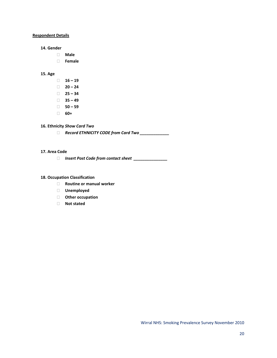### **Respondent Details**

#### **14. Gender**

- **Male**
- **Female**

### **15. Age**

- $\Box$  **16 19**  $\Box$  **20** – **24 25 – 34**
- $\Box$  **35 49**
- **50 – 59**
- **60+**

### **16. Ethnicity** *Show Card Two*

*Record ETHNICITY CODE from Card Two \_\_\_\_\_\_\_\_\_\_\_\_\_*

### **17. Area Code**

*Insert Post Code from contact sheet \_\_\_\_\_\_\_\_\_\_\_\_\_\_\_*

### **18. Occupation Classification**

- **Routine or manual worker**
- **Unemployed**
- **Other occupation**
- **Not stated**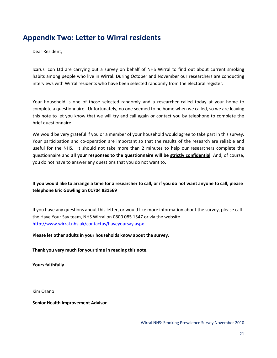# **Appendix Two: Letter to Wirral residents**

Dear Resident,

Icarus Icon Ltd are carrying out a survey on behalf of NHS Wirral to find out about current smoking habits among people who live in Wirral. During October and November our researchers are conducting interviews with Wirral residents who have been selected randomly from the electoral register.

Your household is one of those selected randomly and a researcher called today at your home to complete a questionnaire. Unfortunately, no one seemed to be home when we called, so we are leaving this note to let you know that we will try and call again or contact you by telephone to complete the brief questionnaire.

We would be very grateful if you or a member of your household would agree to take part in this survey. Your participation and co-operation are important so that the results of the research are reliable and useful for the NHS**.**  It should not take more than 2 minutes to help our researchers complete the questionnaire and **all your responses to the questionnaire will be strictly confidential**. And, of course, you do not have to answer any questions that you do not want to.

### If you would like to arrange a time for a researcher to call, or if you do not want anyone to call, please **telephone Eric Gowling on 01704 831569**

If you have any questions about this letter, or would like more information about the survey, please call the Have Your Say team, NHS Wirral on 0800 085 1547 or via the website <http://www.wirral.nhs.uk/contactus/haveyoursay.aspx>

**Please let other adults in your households know about the survey.** 

**Thank you very much for your time in reading this note.**

**Yours faithfully**

Kim Ozano

**Senior Health Improvement Advisor**